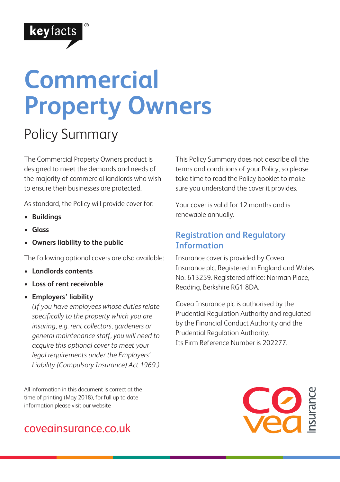

# **Commercial Property Owners**

### Policy Summary

The Commercial Property Owners product is designed to meet the demands and needs of the majority of commercial landlords who wish to ensure their businesses are protected.

As standard, the Policy will provide cover for:

- **Buildings**
- **Glass**
- **Owners liability to the public**

The following optional covers are also available:

- **Landlords contents**
- **Loss of rent receivable**
- **Employers' liability**

*(If you have employees whose duties relate specifically to the property which you are insuring, e.g. rent collectors, gardeners or general maintenance staff, you will need to acquire this optional cover to meet your legal requirements under the Employers' Liability (Compulsory Insurance) Act 1969.)*

All information in this document is correct at the time of printing (May 2018), for full up to date information please visit our website

### coveainsurance.co.uk

This Policy Summary does not describe all the terms and conditions of your Policy, so please take time to read the Policy booklet to make sure you understand the cover it provides.

Your cover is valid for 12 months and is renewable annually.

#### **Registration and Regulatory Information**

Insurance cover is provided by Covea Insurance plc. Registered in England and Wales No. 613259. Registered office: Norman Place, Reading, Berkshire RG1 8DA.

Covea Insurance plc is authorised by the Prudential Regulation Authority and regulated by the Financial Conduct Authority and the Prudential Regulation Authority. Its Firm Reference Number is 202277.

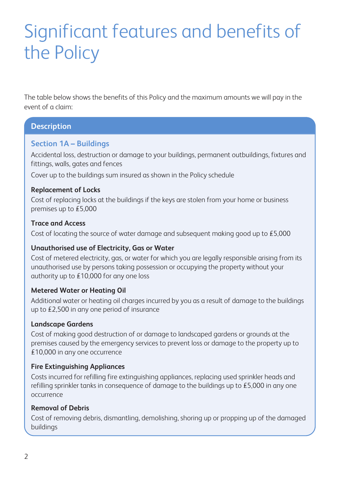## Significant features and benefits of the Policy

The table below shows the benefits of this Policy and the maximum amounts we will pay in the event of a claim:

#### **Description**

#### **Section 1A – Buildings**

Accidental loss, destruction or damage to your buildings, permanent outbuildings, fixtures and fittings, walls, gates and fences

Cover up to the buildings sum insured as shown in the Policy schedule

#### **Replacement of Locks**

Cost of replacing locks at the buildings if the keys are stolen from your home or business premises up to £5,000

#### **Trace and Access**

Cost of locating the source of water damage and subsequent making good up to £5,000

#### **Unauthorised use of Electricity, Gas or Water**

Cost of metered electricity, gas, or water for which you are legally responsible arising from its unauthorised use by persons taking possession or occupying the property without your authority up to £10,000 for any one loss

#### **Metered Water or Heating Oil**

Additional water or heating oil charges incurred by you as a result of damage to the buildings up to £2,500 in any one period of insurance

#### **Landscape Gardens**

Cost of making good destruction of or damage to landscaped gardens or grounds at the premises caused by the emergency services to prevent loss or damage to the property up to £10,000 in any one occurrence

#### **Fire Extinguishing Appliances**

Costs incurred for refilling fire extinguishing appliances, replacing used sprinkler heads and refilling sprinkler tanks in consequence of damage to the buildings up to £5,000 in any one occurrence

#### **Removal of Debris**

Cost of removing debris, dismantling, demolishing, shoring up or propping up of the damaged buildings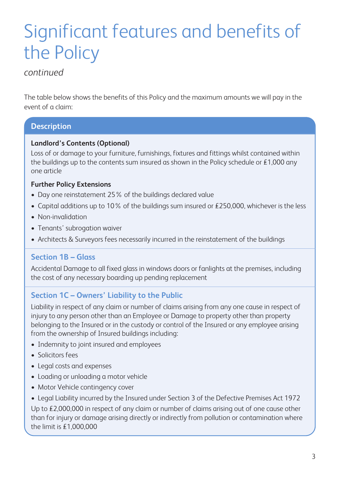## Significant features and benefits of the Policy

#### *continued*

The table below shows the benefits of this Policy and the maximum amounts we will pay in the event of a claim:

#### **Description**

#### **Landlord's Contents (Optional)**

Loss of or damage to your furniture, furnishings, fixtures and fittings whilst contained within the buildings up to the contents sum insured as shown in the Policy schedule or  $£1,000$  any one article

#### **Further Policy Extensions**

- Day one reinstatement 25% of the buildings declared value
- Capital additions up to 10% of the buildings sum insured or  $£250,000$ , whichever is the less
- Non-invalidation
- Tenants' subrogation waiver
- Architects & Surveyors fees necessarily incurred in the reinstatement of the buildings

#### **Section 1B – Glass**

Accidental Damage to all fixed glass in windows doors or fanlights at the premises, including the cost of any necessary boarding up pending replacement

#### **Section 1C – Owners' Liability to the Public**

Liability in respect of any claim or number of claims arising from any one cause in respect of injury to any person other than an Employee or Damage to property other than property belonging to the Insured or in the custody or control of the Insured or any employee arising from the ownership of Insured buildings including:

- Indemnity to joint insured and employees
- Solicitors fees
- Legal costs and expenses
- Loading or unloading a motor vehicle
- Motor Vehicle contingency cover
- Legal Liability incurred by the Insured under Section 3 of the Defective Premises Act 1972 Up to £2,000,000 in respect of any claim or number of claims arising out of one cause other than for injury or damage arising directly or indirectly from pollution or contamination where the limit is £1,000,000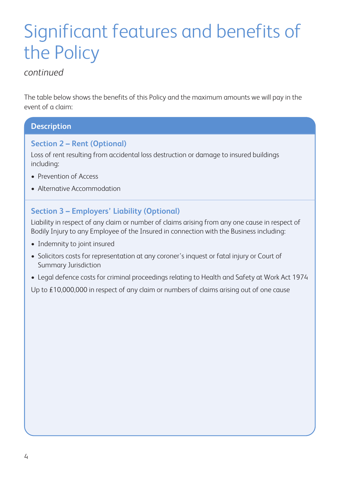## Significant features and benefits of the Policy

#### *continued*

The table below shows the benefits of this Policy and the maximum amounts we will pay in the event of a claim:

#### **Description**

#### **Section 2 – Rent (Optional)**

Loss of rent resulting from accidental loss destruction or damage to insured buildings including:

- Prevention of Access
- Alternative Accommodation

#### **Section 3 – Employers' Liability (Optional)**

Liability in respect of any claim or number of claims arising from any one cause in respect of Bodily Injury to any Employee of the Insured in connection with the Business including:

- Indemnity to joint insured
- Solicitors costs for representation at any coroner's inquest or fatal injury or Court of Summary Jurisdiction
- Legal defence costs for criminal proceedings relating to Health and Safety at Work Act 1974

Up to £10,000,000 in respect of any claim or numbers of claims arising out of one cause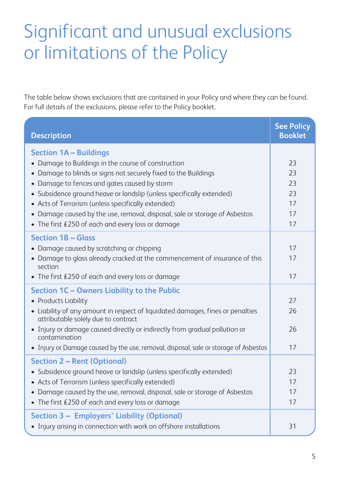### Significant and unusual exclusions or limitations of the Policy

The table below shows exclusions that are contained in your Policy and where they can be found. For full details of the exclusions, please refer to the Policy booklet.

| <b>Description</b>                                                                                                    | <b>See Policy</b><br><b>Booklet</b> |
|-----------------------------------------------------------------------------------------------------------------------|-------------------------------------|
| <b>Section 1A - Buildings</b>                                                                                         |                                     |
| • Damage to Buildings in the course of construction                                                                   | 23                                  |
| • Damage to blinds or signs not securely fixed to the Buildings                                                       | 23                                  |
| • Damage to fences and gates caused by storm                                                                          | 23                                  |
| • Subsidence ground heave or landslip (unless specifically extended)                                                  | 23                                  |
| • Acts of Terrorism (unless specifically extended)                                                                    | 17                                  |
| • Damage caused by the use, removal, disposal, sale or storage of Asbestos                                            | 17                                  |
| • The first £250 of each and every loss or damage                                                                     | 17                                  |
| <b>Section 1B - Glass</b>                                                                                             |                                     |
| • Damage caused by scratching or chipping                                                                             | 17                                  |
| • Damage to glass already cracked at the commencement of insurance of this<br>section                                 | 17                                  |
| • The first £250 of each and every loss or damage                                                                     | 17                                  |
| Section 1C - Owners Liability to the Public                                                                           |                                     |
| • Products Liability                                                                                                  | 27                                  |
| • Liability of any amount in respect of liquidated damages, fines or penalties<br>attributable solely due to contract | 26                                  |
| • Injury or damage caused directly or indirectly from gradual pollution or<br>contamination                           | 26                                  |
| • Injury or Damage caused by the use, removal, disposal, sale or storage of Asbestos                                  | 17                                  |
| <b>Section 2 - Rent (Optional)</b>                                                                                    |                                     |
| • Subsidence ground heave or landslip (unless specifically extended)                                                  | 23                                  |
| • Acts of Terrorism (unless specifically extended)                                                                    | 17                                  |
| • Damage caused by the use, removal, disposal, sale or storage of Asbestos                                            | 17                                  |
| • The first £250 of each and every loss or damage                                                                     | 17                                  |
| Section 3 - Employers' Liability (Optional)                                                                           |                                     |
| • Injury arising in connection with work on offshore installations                                                    | 31                                  |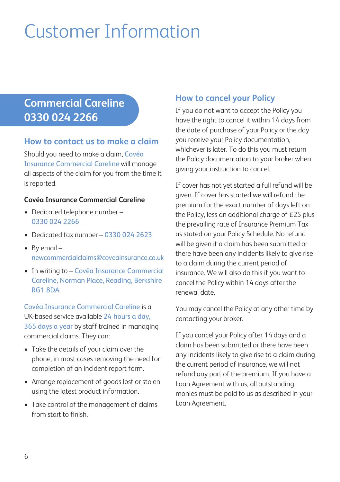## Customer Information

### **Commercial Careline 0330 024 2266**

#### **How to contact us to make a claim**

Should you need to make a claim, Covéa Insurance Commercial Careline will manage all aspects of the claim for you from the time it is reported.

#### **Covéa Insurance Commercial Careline**

- Dedicated telephone number 0330 024 2266
- Dedicated fax number 0330 024 2623
- By email newcommercialclaims@coveainsurance.co.uk
- In writing to Covéa Insurance Commercial Careline, Norman Place, Reading, Berkshire RG1 8DA

Covéa Insurance Commercial Careline is a UK-based service available 24 hours a day, 365 days a year by staff trained in managing commercial claims. They can:

- Take the details of your claim over the phone, in most cases removing the need for completion of an incident report form.
- Arrange replacement of goods lost or stolen using the latest product information.
- Take control of the management of claims from start to finish.

#### **How to cancel your Policy**

If you do not want to accept the Policy you have the right to cancel it within 14 days from the date of purchase of your Policy or the day you receive your Policy documentation, whichever is later. To do this you must return the Policy documentation to your broker when giving your instruction to cancel.

If cover has not yet started a full refund will be given. If cover has started we will refund the premium for the exact number of days left on the Policy, less an additional charge of £25 plus the prevailing rate of Insurance Premium Tax as stated on your Policy Schedule. No refund will be given if a claim has been submitted or there have been any incidents likely to give rise to a claim during the current period of insurance. We will also do this if you want to cancel the Policy within 14 days after the renewal date.

You may cancel the Policy at any other time by contacting your broker.

If you cancel your Policy after 14 days and a claim has been submitted or there have been any incidents likely to give rise to a claim during the current period of insurance, we will not refund any part of the premium. If you have a Loan Agreement with us, all outstanding monies must be paid to us as described in your Loan Agreement.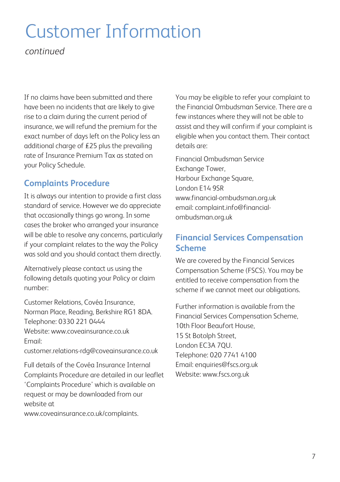### Customer Information

*continued*

If no claims have been submitted and there have been no incidents that are likely to give rise to a claim during the current period of insurance, we will refund the premium for the exact number of days left on the Policy less an additional charge of £25 plus the prevailing rate of Insurance Premium Tax as stated on your Policy Schedule.

#### **Complaints Procedure**

It is always our intention to provide a first class standard of service. However we do appreciate that occasionally things go wrong. In some cases the broker who arranged your insurance will be able to resolve any concerns, particularly if your complaint relates to the way the Policy was sold and you should contact them directly.

Alternatively please contact us using the following details quoting your Policy or claim number:

Customer Relations, Covéa Insurance, Norman Place, Reading, Berkshire RG1 8DA. Telephone: 0330 221 0444 Website: www.coveginsurance.co.uk Email:

customer.relations-rdg@coveainsurance.co.uk

Full details of the Covéa Insurance Internal Complaints Procedure are detailed in our leaflet 'Complaints Procedure' which is available on request or may be downloaded from our website at

www.coveainsurance.co.uk/complaints.

You may be eligible to refer your complaint to the Financial Ombudsman Service. There are a few instances where they will not be able to assist and they will confirm if your complaint is eligible when you contact them. Their contact details are:

Financial Ombudsman Service Exchange Tower, Harbour Exchange Square, London E14 9SR www.financial-ombudsman.org.uk email: complaint.info@financialombudsman.org.uk

#### **Financial Services Compensation Scheme**

We are covered by the Financial Services Compensation Scheme (FSCS). You may be entitled to receive compensation from the scheme if we cannot meet our obligations.

Further information is available from the Financial Services Compensation Scheme, 10th Floor Beaufort House, 15 St Botolph Street, London EC3A 7QU. Telephone: 020 7741 4100 Email: enquiries@fscs.org.uk Website: www.fscs.org.uk